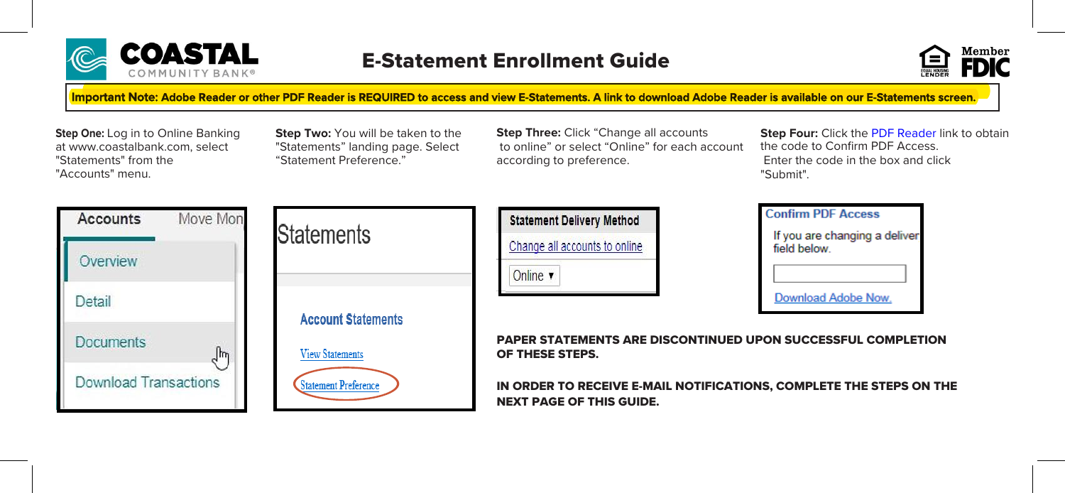

## E-Statement Enrollment Guide



 **Important Note: Adobe Reader or other PDF Reader is REQUIRED to access and view E-Statements. A link to download Adobe Reader is available on our E-Statements screen.**

**Step One:** Log in to Online Banking at www.coastalbank.com, select "Statements" from the "Accounts" menu.

**Step Two:** You will be taken to the "Statements" landing page. Select "Statement Preference."

**Step Three:** Click "Change all accounts to online" or select "Online" for each account according to preference.

**Step Four:** Click the PDF Reader link to obtain the code to Confirm PDF Access. Enter the code in the box and click "Submit".